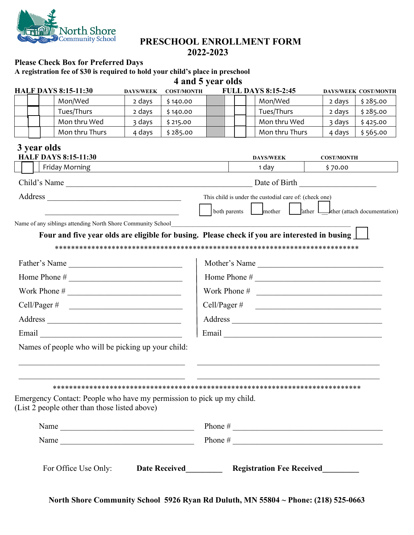

## **PRESCHOOL ENROLLMENT FORM 2022-2023**

## **Please Check Box for Preferred Days**

**A registration fee of \$30 is required to hold your child's place in preschool**

|                 |                                                                                               |                  |                   | 4 and 5 year olds            |  |                                                              |                                   |                             |  |
|-----------------|-----------------------------------------------------------------------------------------------|------------------|-------------------|------------------------------|--|--------------------------------------------------------------|-----------------------------------|-----------------------------|--|
|                 | <b>HALF DAYS 8:15-11:30</b>                                                                   | <b>DAYS/WEEK</b> | <b>COST/MONTH</b> |                              |  | <b>FULL DAYS 8:15-2:45</b>                                   |                                   | <b>DAYS/WEEK COST/MONTH</b> |  |
|                 | Mon/Wed                                                                                       | 2 days           | \$140.00          |                              |  | Mon/Wed                                                      | 2 days                            | \$285.00                    |  |
|                 | Tues/Thurs                                                                                    | 2 days           | \$140.00          |                              |  | Tues/Thurs                                                   | 2 days                            | \$285.00                    |  |
|                 | Mon thru Wed                                                                                  | 3 days           | \$215.00          |                              |  | Mon thru Wed                                                 | 3 days                            | \$425.00                    |  |
|                 | Mon thru Thurs                                                                                | 4 days           | \$285.00          |                              |  | Mon thru Thurs                                               | 4 days                            | \$565.00                    |  |
|                 | 3 year olds<br><b>HALF DAYS 8:15-11:30</b>                                                    |                  |                   |                              |  | <b>DAYS/WEEK</b>                                             | <b>COST/MONTH</b>                 |                             |  |
|                 | Friday Morning                                                                                |                  |                   |                              |  | 1 day                                                        | \$70.00                           |                             |  |
|                 |                                                                                               |                  |                   |                              |  |                                                              |                                   |                             |  |
|                 |                                                                                               |                  |                   |                              |  |                                                              |                                   |                             |  |
|                 |                                                                                               |                  |                   |                              |  | This child is under the custodial care of: (check one)       |                                   |                             |  |
|                 |                                                                                               |                  |                   | both parents                 |  | mother                                                       | ather ther (attach documentation) |                             |  |
|                 | Name of any siblings attending North Shore Community School                                   |                  |                   |                              |  |                                                              |                                   |                             |  |
|                 | Four and five year olds are eligible for busing. Please check if you are interested in busing |                  |                   |                              |  |                                                              |                                   |                             |  |
|                 |                                                                                               |                  |                   |                              |  |                                                              |                                   |                             |  |
| Father's Name   |                                                                                               |                  |                   | Mother's Name                |  |                                                              |                                   |                             |  |
|                 |                                                                                               |                  |                   |                              |  |                                                              |                                   |                             |  |
|                 |                                                                                               |                  |                   | Work Phone $\#$              |  |                                                              |                                   |                             |  |
| $Cell/Pager \#$ |                                                                                               |                  |                   | Cell/Pager # $\qquad \qquad$ |  |                                                              |                                   |                             |  |
|                 |                                                                                               |                  |                   |                              |  |                                                              |                                   |                             |  |
|                 |                                                                                               |                  |                   |                              |  |                                                              |                                   |                             |  |
|                 | Names of people who will be picking up your child:                                            |                  |                   |                              |  |                                                              |                                   |                             |  |
|                 |                                                                                               |                  |                   |                              |  |                                                              |                                   |                             |  |
|                 |                                                                                               |                  |                   |                              |  |                                                              |                                   |                             |  |
|                 |                                                                                               |                  |                   |                              |  |                                                              |                                   |                             |  |
|                 | Emergency Contact: People who have my permission to pick up my child.                         |                  |                   |                              |  |                                                              |                                   |                             |  |
|                 | (List 2 people other than those listed above)                                                 |                  |                   |                              |  |                                                              |                                   |                             |  |
|                 | Name $\frac{1}{\sqrt{1-\frac{1}{2}}\left(\frac{1}{2}-\frac{1}{2}\right)}$                     |                  |                   |                              |  |                                                              |                                   |                             |  |
| Name            |                                                                                               |                  |                   |                              |  |                                                              |                                   |                             |  |
|                 |                                                                                               |                  |                   |                              |  |                                                              |                                   |                             |  |
|                 |                                                                                               |                  |                   |                              |  |                                                              |                                   |                             |  |
|                 | For Office Use Only:                                                                          |                  |                   |                              |  | Date Received____________ Registration Fee Received_________ |                                   |                             |  |

**North Shore Community School 5926 Ryan Rd Duluth, MN 55804 ~ Phone: (218) 525-0663**